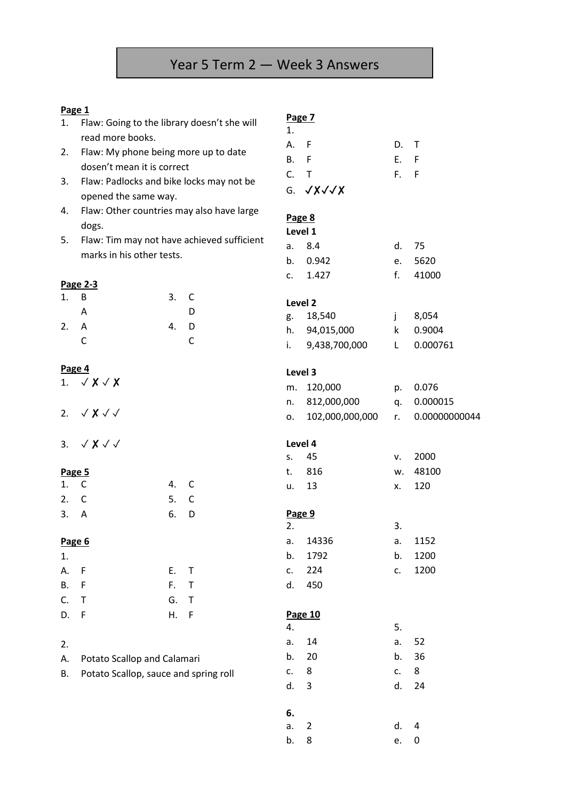## **Page 1**

| Page 1    |                                            |                                             |              |                   |                       |      |               |  |
|-----------|--------------------------------------------|---------------------------------------------|--------------|-------------------|-----------------------|------|---------------|--|
| 1.        |                                            | Flaw: Going to the library doesn't she will |              |                   | Page 7<br>1.          |      |               |  |
|           | read more books.                           |                                             |              | А.                | F                     | D.   | $\mathsf{T}$  |  |
| 2.        | Flaw: My phone being more up to date       |                                             |              | <b>B.</b>         | $\mathsf{F}$          | E. F |               |  |
|           | dosen't mean it is correct                 |                                             |              | $C_{\cdot}$       | $\mathsf T$           | F.   | F             |  |
| 3.        | Flaw: Padlocks and bike locks may not be   |                                             |              |                   |                       |      |               |  |
|           | opened the same way.                       |                                             |              |                   | G. $\sqrt{x}\sqrt{x}$ |      |               |  |
| 4.        | Flaw: Other countries may also have large  |                                             |              |                   |                       |      |               |  |
|           | dogs.                                      |                                             |              | Page 8<br>Level 1 |                       |      |               |  |
| 5.        | Flaw: Tim may not have achieved sufficient |                                             |              | a.                | 8.4                   | d.   | 75            |  |
|           | marks in his other tests.                  |                                             |              |                   | 0.942                 | e.   | 5620          |  |
|           |                                            |                                             |              | b.<br>c.          | 1.427                 | f.   | 41000         |  |
|           | Page 2-3                                   |                                             |              |                   |                       |      |               |  |
| 1.        | B                                          | 3.                                          | C            |                   | Level 2               |      |               |  |
|           | A                                          |                                             | D            | g.                | 18,540                | j    | 8,054         |  |
| 2.        | A                                          | 4.                                          | D            | h.                | 94,015,000            | k    | 0.9004        |  |
|           | C                                          |                                             | $\mathsf C$  | i.                | 9,438,700,000         | L    | 0.000761      |  |
|           |                                            |                                             |              |                   |                       |      |               |  |
|           | Page 4                                     |                                             |              | Level 3           |                       |      |               |  |
|           | 1. $\sqrt{X}$ $\sqrt{X}$                   |                                             |              | m.                | 120,000               | p.   | 0.076         |  |
|           |                                            |                                             |              | n.                | 812,000,000           | q.   | 0.000015      |  |
|           | 2. $\sqrt{\chi}$ $\sqrt{\sqrt{}}$          |                                             |              | о.                | 102,000,000,000       | r.   | 0.00000000044 |  |
|           |                                            |                                             |              |                   |                       |      |               |  |
|           | 3. $\sqrt{\chi}$ $\sqrt{\sqrt{}}$          |                                             |              |                   | Level 4               |      |               |  |
|           |                                            |                                             |              | $S_{+}$           | 45                    | v.   | 2000          |  |
|           | Page 5                                     |                                             |              | t.                | 816                   | w.   | 48100         |  |
| 1.        | $\mathsf{C}$                               | 4.                                          | $\mathsf{C}$ | u.                | 13                    | x.   | 120           |  |
| 2.        | C                                          | 5.                                          | $\mathsf C$  |                   |                       |      |               |  |
| 3.        | A                                          | 6.                                          | D            |                   | Page 9                |      |               |  |
|           |                                            |                                             |              | 2.                |                       | 3.   |               |  |
| Page 6    |                                            |                                             |              | a.                | 14336                 | a.   | 1152          |  |
| 1.        |                                            |                                             |              | b.                | 1792                  | b.   | 1200          |  |
| А.        | $\mathsf F$                                | Ε.                                          | $\mathsf T$  | c.                | 224                   | c.   | 1200          |  |
| <b>B.</b> | $\mathsf F$                                | F.                                          | $\top$       | d.                | 450                   |      |               |  |
| C.        | $\mathsf T$                                | G.                                          | $\sf T$      |                   |                       |      |               |  |
| D.        | $\mathsf F$                                | Η.                                          | $\mathsf F$  |                   | Page 10               |      |               |  |
|           |                                            |                                             |              | 4.                |                       | 5.   |               |  |
| 2.        |                                            |                                             |              | a.                | 14                    | a.   | 52            |  |
| Α.        | Potato Scallop and Calamari                |                                             |              | b.                | 20                    | b.   | 36            |  |
| В.        | Potato Scallop, sauce and spring roll      |                                             |              | c.                | 8                     | c.   | 8             |  |
|           |                                            |                                             |              | d.                | 3                     | d.   | 24            |  |
|           |                                            |                                             |              |                   |                       |      |               |  |
|           |                                            |                                             |              | 6.                |                       |      |               |  |

a. 2 d. 4 b. 8 e. 0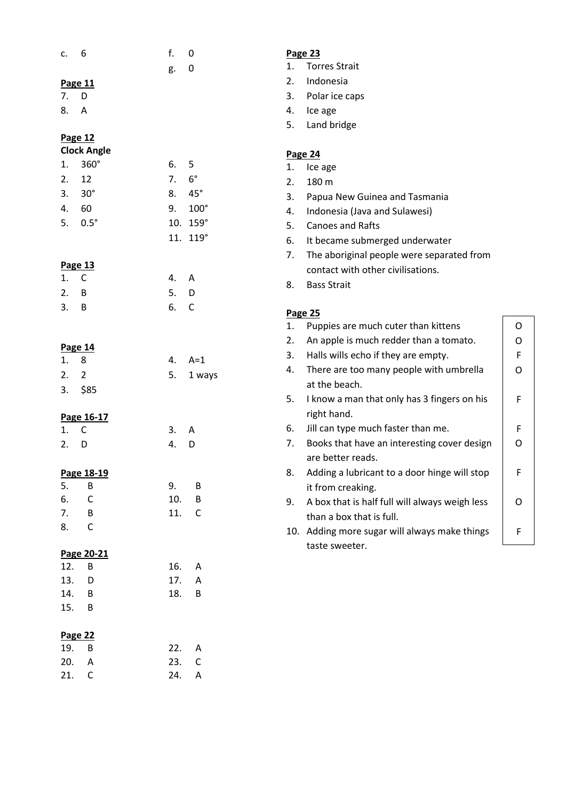| c.             | 6                  | f.         | 0                 |    | Page 23                                        |             |  |
|----------------|--------------------|------------|-------------------|----|------------------------------------------------|-------------|--|
|                |                    | g.         | 0                 | 1. | <b>Torres Strait</b>                           |             |  |
|                | Page 11            |            |                   | 2. | Indonesia                                      |             |  |
| 7 <sub>1</sub> | D                  |            |                   | 3. | Polar ice caps                                 |             |  |
| 8.             | A                  |            |                   | 4. | Ice age                                        |             |  |
|                |                    |            |                   | 5. | Land bridge                                    |             |  |
|                | Page 12            |            |                   |    |                                                |             |  |
|                | <b>Clock Angle</b> |            |                   |    | Page 24                                        |             |  |
| 1.             | 360°               | 6.         | 5                 | 1. | Ice age                                        |             |  |
| 2.             | 12                 | 7.         | $6^{\circ}$       | 2. | 180 m                                          |             |  |
| 3.             | $30^\circ$         | 8.         | $45^{\circ}$      | 3. | Papua New Guinea and Tasmania                  |             |  |
| 4.             | 60                 | 9.         | $100^\circ$       | 4. | Indonesia (Java and Sulawesi)                  |             |  |
| 5.             | $0.5^\circ$        |            | 10. 159°          | 5. | <b>Canoes and Rafts</b>                        |             |  |
|                |                    |            | 11. 119°          | 6. | It became submerged underwater                 |             |  |
|                |                    |            |                   | 7. | The aboriginal people were separated from      |             |  |
|                | Page 13            |            |                   |    | contact with other civilisations.              |             |  |
| 1.             | $\mathsf{C}$       | 4.         | A                 | 8. | <b>Bass Strait</b>                             |             |  |
| 2.             | B                  | 5.         | D                 |    |                                                |             |  |
| 3.             | B                  | 6.         | $\mathsf{C}$      |    | Page 25                                        |             |  |
|                |                    |            |                   | 1. | Puppies are much cuter than kittens            | $\mathsf O$ |  |
|                |                    |            |                   | 2. | An apple is much redder than a tomato.         | $\mathsf O$ |  |
|                | Page 14            |            |                   | 3. | Halls wills echo if they are empty.            | F           |  |
| 1.             | 8                  | 4.         | $A=1$             | 4. | There are too many people with umbrella        | 0           |  |
| 2.             | 2                  | 5.         | 1 ways            |    | at the beach.                                  |             |  |
| 3.             | \$85               |            |                   | 5. | I know a man that only has 3 fingers on his    | F.          |  |
|                |                    |            |                   |    | right hand.                                    |             |  |
|                | Page 16-17         |            |                   | 6. |                                                | F           |  |
| 1.             | C                  | 3.         | Α                 |    | Jill can type much faster than me.             |             |  |
| 2.             | D                  | 4.         | D                 | 7. | Books that have an interesting cover design    | O           |  |
|                |                    |            |                   |    | are better reads.                              |             |  |
|                | Page 18-19         |            |                   | 8. | Adding a lubricant to a door hinge will stop   | F           |  |
| 5.             | B                  | 9.         | B                 |    | it from creaking.                              |             |  |
| 6.<br>7.       | $\mathsf C$        | 10.<br>11. | B<br>$\mathsf{C}$ | 9. | A box that is half full will always weigh less | O           |  |
| 8.             | B<br>$\mathsf C$   |            |                   |    | than a box that is full.                       |             |  |
|                |                    |            |                   |    | 10. Adding more sugar will always make things  | F           |  |
|                | Page 20-21         |            |                   |    | taste sweeter.                                 |             |  |
| 12.            | $\sf B$            | 16.        | A                 |    |                                                |             |  |
| 13.            | D                  | 17.        | Α                 |    |                                                |             |  |
| 14.            | B                  | 18.        | B                 |    |                                                |             |  |
| 15.            | B                  |            |                   |    |                                                |             |  |
|                |                    |            |                   |    |                                                |             |  |
|                | <b>Page 22</b>     |            |                   |    |                                                |             |  |
| 19.            | B                  | 22.        | A                 |    |                                                |             |  |
| 20.            | A                  | 23.        | $\mathsf C$       |    |                                                |             |  |
| 21.            | C                  | 24.        | Α                 |    |                                                |             |  |